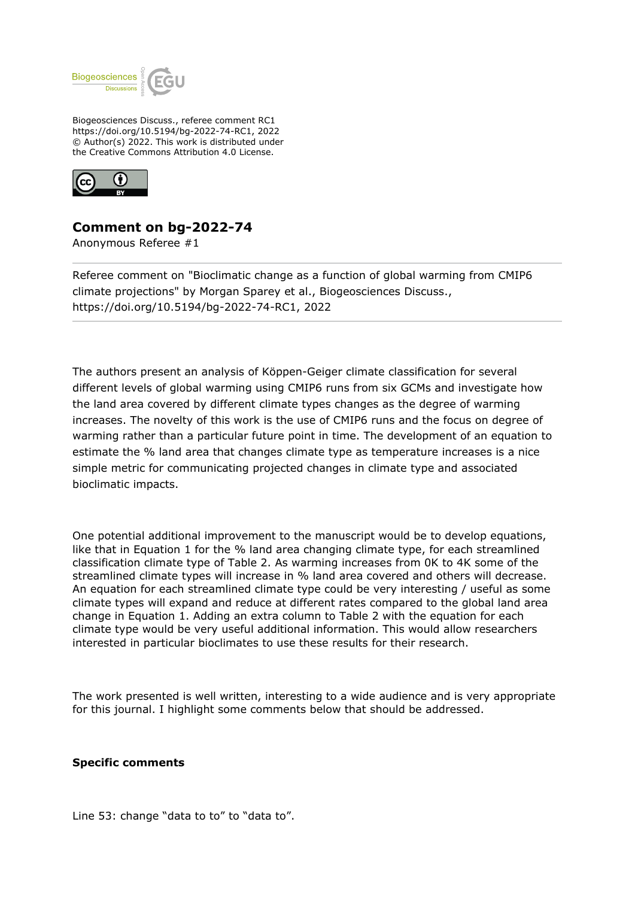

Biogeosciences Discuss., referee comment RC1 https://doi.org/10.5194/bg-2022-74-RC1, 2022 © Author(s) 2022. This work is distributed under the Creative Commons Attribution 4.0 License.



## **Comment on bg-2022-74**

Anonymous Referee #1

Referee comment on "Bioclimatic change as a function of global warming from CMIP6 climate projections" by Morgan Sparey et al., Biogeosciences Discuss., https://doi.org/10.5194/bg-2022-74-RC1, 2022

The authors present an analysis of Köppen-Geiger climate classification for several different levels of global warming using CMIP6 runs from six GCMs and investigate how the land area covered by different climate types changes as the degree of warming increases. The novelty of this work is the use of CMIP6 runs and the focus on degree of warming rather than a particular future point in time. The development of an equation to estimate the % land area that changes climate type as temperature increases is a nice simple metric for communicating projected changes in climate type and associated bioclimatic impacts.

One potential additional improvement to the manuscript would be to develop equations, like that in Equation 1 for the % land area changing climate type, for each streamlined classification climate type of Table 2. As warming increases from 0K to 4K some of the streamlined climate types will increase in % land area covered and others will decrease. An equation for each streamlined climate type could be very interesting / useful as some climate types will expand and reduce at different rates compared to the global land area change in Equation 1. Adding an extra column to Table 2 with the equation for each climate type would be very useful additional information. This would allow researchers interested in particular bioclimates to use these results for their research.

The work presented is well written, interesting to a wide audience and is very appropriate for this journal. I highlight some comments below that should be addressed.

## **Specific comments**

Line 53: change "data to to" to "data to".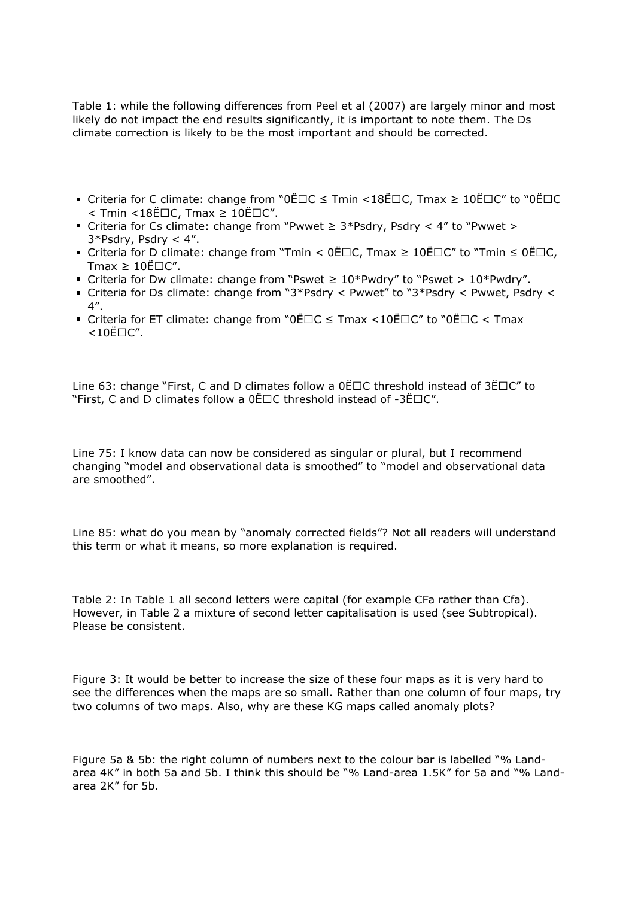Table 1: while the following differences from Peel et al (2007) are largely minor and most likely do not impact the end results significantly, it is important to note them. The Ds climate correction is likely to be the most important and should be corrected.

- Criteria for C climate: change from "0Ë $\Box$ C  $\leq$  Tmin <18Ë $\Box$ C, Tmax  $\geq 10$ Ë $\Box$ C" to "0Ë $\Box$ C  $\le$  Tmin  $\le$  18 EOC, Tmax  $\ge$  10 EOC".
- Criteria for Cs climate: change from "Pwwet ≥ 3\*Psdry, Psdry < 4" to "Pwwet > 3\*Psdry, Psdry < 4".
- Criteria for D climate: change from "Tmin < 0ËOC, Tmax ≥ 10ËOC" to "Tmin ≤ 0ËOC, Tmax  $\geq 10E\square C''$ .
- Criteria for Dw climate: change from "Pswet  $\geq 10*$ Pwdry" to "Pswet  $> 10*$ Pwdry".
- Criteria for Ds climate: change from "3\*Psdry < Pwwet" to "3\*Psdry < Pwwet, Psdry < 4".
- Criteria for ET climate: change from "0Ë $\Box$ C  $\leq$  Tmax <10Ë $\Box$ C" to "0Ë $\Box$ C < Tmax  $<$ 10Ë $\square$ C".

Line 63: change "First, C and D climates follow a  $0E\Box C$  threshold instead of  $3E\Box C''$  to "First, C and D climates follow a  $0E\Box C$  threshold instead of -3 $E\Box C''$ .

Line 75: I know data can now be considered as singular or plural, but I recommend changing "model and observational data is smoothed" to "model and observational data are smoothed".

Line 85: what do you mean by "anomaly corrected fields"? Not all readers will understand this term or what it means, so more explanation is required.

Table 2: In Table 1 all second letters were capital (for example CFa rather than Cfa). However, in Table 2 a mixture of second letter capitalisation is used (see Subtropical). Please be consistent.

Figure 3: It would be better to increase the size of these four maps as it is very hard to see the differences when the maps are so small. Rather than one column of four maps, try two columns of two maps. Also, why are these KG maps called anomaly plots?

Figure 5a & 5b: the right column of numbers next to the colour bar is labelled "% Landarea 4K" in both 5a and 5b. I think this should be "% Land-area 1.5K" for 5a and "% Landarea 2K" for 5b.